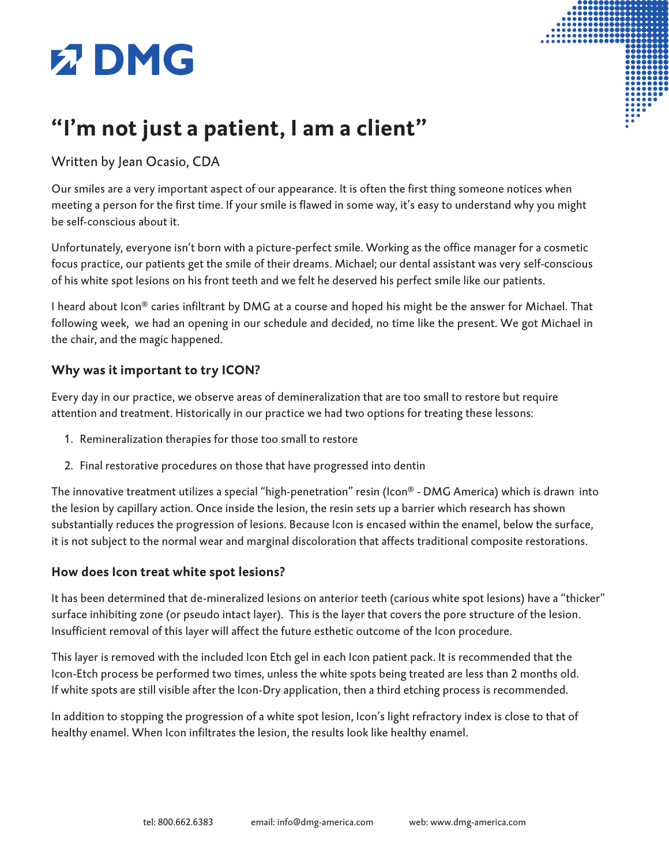# **Z DMG**



### **"I'm not just a patient, I am a client"**

### Written by Jean Ocasio, CDA

Our smiles are a very important aspect of our appearance. It is often the first thing someone notices when meeting a person for the first time. If your smile is flawed in some way, it's easy to understand why you might be self-conscious about it.

Unfortunately, everyone isn't born with a picture-perfect smile. Working as the office manager for a cosmetic focus practice, our patients get the smile of their dreams. Michael; our dental assistant was very self-conscious of his white spot lesions on his front teeth and we felt he deserved his perfect smile like our patients.

I heard about Icon® caries infiltrant by DMG at a course and hoped his might be the answer for Michael. That following week, we had an opening in our schedule and decided, no time like the present. We got Michael in the chair, and the magic happened.

### **Why was it important to try ICON?**

Every day in our practice, we observe areas of demineralization that are too small to restore but require attention and treatment. Historically in our practice we had two options for treating these lessons:

- 1. Remineralization therapies for those too small to restore
- 2. Final restorative procedures on those that have progressed into dentin

The innovative treatment utilizes a special "high-penetration" resin (Icon® - DMG America) which is drawn into the lesion by capillary action. Once inside the lesion, the resin sets up a barrier which research has shown substantially reduces the progression of lesions. Because Icon is encased within the enamel, below the surface, it is not subject to the normal wear and marginal discoloration that affects traditional composite restorations.

### **How does Icon treat white spot lesions?**

It has been determined that de-mineralized lesions on anterior teeth (carious white spot lesions) have a "thicker" surface inhibiting zone (or pseudo intact layer). This is the layer that covers the pore structure of the lesion. Insufficient removal of this layer will affect the future esthetic outcome of the Icon procedure.

This layer is removed with the included Icon Etch gel in each Icon patient pack. It is recommended that the Icon-Etch process be performed two times, unless the white spots being treated are less than 2 months old. If white spots are still visible after the Icon-Dry application, then a third etching process is recommended.

In addition to stopping the progression of a white spot lesion, Icon's light refractory index is close to that of healthy enamel. When Icon infiltrates the lesion, the results look like healthy enamel.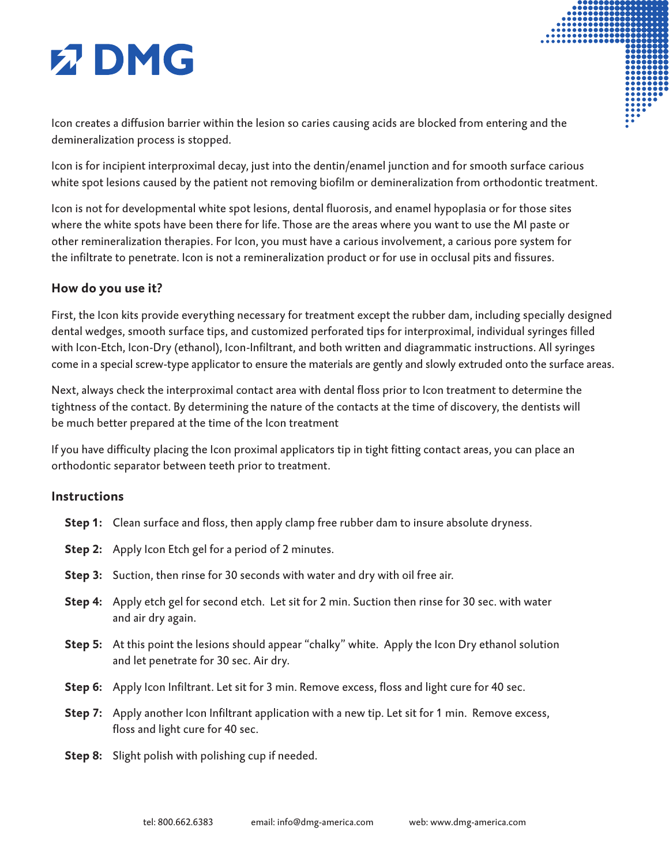# **Z DMG**

Icon creates a diffusion barrier within the lesion so caries causing acids are blocked from entering and the demineralization process is stopped.

Icon is for incipient interproximal decay, just into the dentin/enamel junction and for smooth surface carious white spot lesions caused by the patient not removing biofilm or demineralization from orthodontic treatment.

Icon is not for developmental white spot lesions, dental fluorosis, and enamel hypoplasia or for those sites where the white spots have been there for life. Those are the areas where you want to use the MI paste or other remineralization therapies. For Icon, you must have a carious involvement, a carious pore system for the infiltrate to penetrate. Icon is not a remineralization product or for use in occlusal pits and fissures.

### **How do you use it?**

First, the Icon kits provide everything necessary for treatment except the rubber dam, including specially designed dental wedges, smooth surface tips, and customized perforated tips for interproximal, individual syringes filled with Icon-Etch, Icon-Dry (ethanol), Icon-Infiltrant, and both written and diagrammatic instructions. All syringes come in a special screw-type applicator to ensure the materials are gently and slowly extruded onto the surface areas.

Next, always check the interproximal contact area with dental floss prior to Icon treatment to determine the tightness of the contact. By determining the nature of the contacts at the time of discovery, the dentists will be much better prepared at the time of the Icon treatment

If you have difficulty placing the Icon proximal applicators tip in tight fitting contact areas, you can place an orthodontic separator between teeth prior to treatment.

#### **Instructions**

- **Step 1:** Clean surface and floss, then apply clamp free rubber dam to insure absolute dryness.
- **Step 2:** Apply Icon Etch gel for a period of 2 minutes.
- **Step 3:** Suction, then rinse for 30 seconds with water and dry with oil free air.
- **Step 4:** Apply etch gel for second etch. Let sit for 2 min. Suction then rinse for 30 sec. with water and air dry again.
- **Step 5:** At this point the lesions should appear "chalky" white. Apply the Icon Dry ethanol solution and let penetrate for 30 sec. Air dry.
- **Step 6:** Apply Icon Infiltrant. Let sit for 3 min. Remove excess, floss and light cure for 40 sec.
- **Step 7:** Apply another Icon Infiltrant application with a new tip. Let sit for 1 min. Remove excess, floss and light cure for 40 sec.
- **Step 8:** Slight polish with polishing cup if needed.